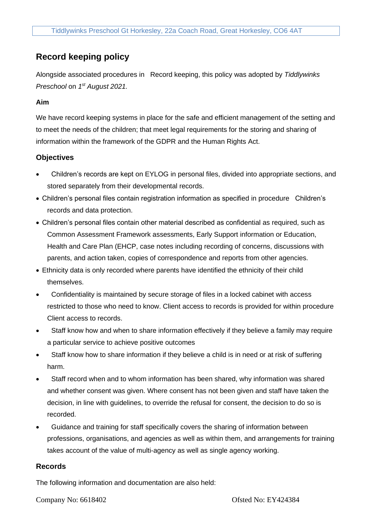# **Record keeping policy**

Alongside associated procedures in Record keeping, this policy was adopted by *Tiddlywinks Preschool* on *1 st August 2021.*

### **Aim**

We have record keeping systems in place for the safe and efficient management of the setting and to meet the needs of the children; that meet legal requirements for the storing and sharing of information within the framework of the GDPR and the Human Rights Act.

## **Objectives**

- Children's records are kept on EYLOG in personal files, divided into appropriate sections, and stored separately from their developmental records.
- Children's personal files contain registration information as specified in procedure Children's records and data protection.
- Children's personal files contain other material described as confidential as required, such as Common Assessment Framework assessments, Early Support information or Education, Health and Care Plan (EHCP, case notes including recording of concerns, discussions with parents, and action taken, copies of correspondence and reports from other agencies.
- Ethnicity data is only recorded where parents have identified the ethnicity of their child themselves.
- Confidentiality is maintained by secure storage of files in a locked cabinet with access restricted to those who need to know. Client access to records is provided for within procedure Client access to records.
- Staff know how and when to share information effectively if they believe a family may require a particular service to achieve positive outcomes
- Staff know how to share information if they believe a child is in need or at risk of suffering harm.
- Staff record when and to whom information has been shared, why information was shared and whether consent was given. Where consent has not been given and staff have taken the decision, in line with guidelines, to override the refusal for consent, the decision to do so is recorded.
- Guidance and training for staff specifically covers the sharing of information between professions, organisations, and agencies as well as within them, and arrangements for training takes account of the value of multi-agency as well as single agency working.

#### **Records**

The following information and documentation are also held:

Company No: 6618402 Ofsted No: EY424384